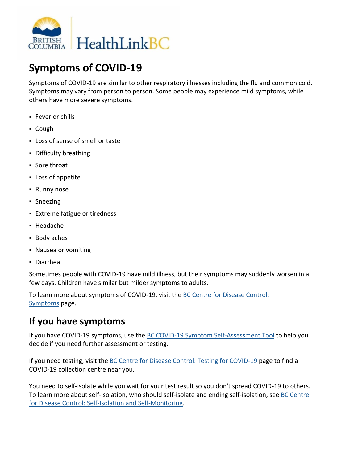

# **Symptoms of COVID-19**

Symptoms of COVID-19 are similar to other respiratory illnesses including the flu and common cold. Symptoms may vary from person to person. Some people may experience mild symptoms, while others have more severe symptoms.

- **Fever or chills**
- Cough
- Loss of sense of smell or taste
- Difficulty breathing
- **Sore throat**
- Loss of appetite
- **Runny nose**
- **Sneezing**
- Extreme fatigue or tiredness
- Headache
- Body aches
- Nausea or vomiting
- Diarrhea

Sometimes people with COVID-19 have mild illness, but their symptoms may suddenly worsen in a few days. Children have similar but milder symptoms to adults.

To learn more about symptoms of COVID-19, visit the [BC Centre for Disease Control:](http://www.bccdc.ca/health-info/diseases-conditions/covid-19/about-covid-19/symptoms)  [Symptoms](http://www.bccdc.ca/health-info/diseases-conditions/covid-19/about-covid-19/symptoms) page.

### **If you have symptoms**

If you have COVID-19 symptoms, use the [BC COVID-19 Symptom Self-Assessment Tool](https://covid19.thrive.health/) to help you decide if you need further assessment or testing.

If you need testing, visit the [BC Centre for Disease Control: Testing for COVID-19](http://www.bccdc.ca/health-info/diseases-conditions/covid-19/testing) page to find a COVID-19 collection centre near you.

You need to self-isolate while you wait for your test result so you don't spread COVID-19 to others. To learn more about self-isolation, who should self-isolate and ending self-isolation, see [BC Centre](http://www.bccdc.ca/health-info/diseases-conditions/covid-19/self-isolation)  [for Disease Control: Self-Isolation and Self-Monitoring.](http://www.bccdc.ca/health-info/diseases-conditions/covid-19/self-isolation)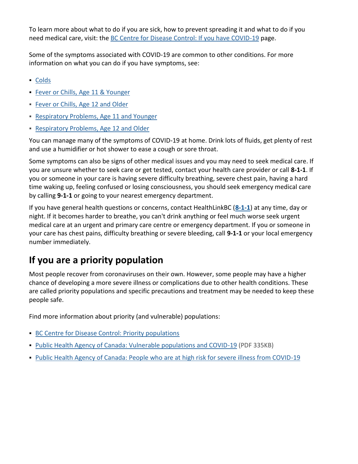To learn more about what to do if you are sick, how to prevent spreading it and what to do if you need medical care, visit: the **[BC Centre for Disease Control: If you have COVID-19](http://www.bccdc.ca/health-info/diseases-conditions/covid-19/about-covid-19/if-you-are-sick)** page.

Some of the symptoms associated with COVID-19 are common to other conditions. For more information on what you can do if you have symptoms, see:

- [Colds](https://www.healthlinkbc.ca/illnesses-conditions/cold-and-flu/colds)
- **[Fever or Chills, Age 11 & Younger](https://www.healthlinkbc.ca/illnesses-conditions/infectious-diseases/fever-or-chills-age-11-and-younger)**
- [Fever or Chills, Age 12 and Older](https://www.healthlinkbc.ca/illnesses-conditions/infectious-diseases/fever-or-chills-age-12-and-older)
- **[Respiratory Problems, Age 11 and Younger](https://www.healthlinkbc.ca/health-topics/respiratory-problems-age-11-and-younger)**
- [Respiratory Problems, Age 12 and Older](https://www.healthlinkbc.ca/health-topics/respiratory-problems-age-12-and-older)

You can manage many of the symptoms of COVID-19 at home. Drink lots of fluids, get plenty of rest and use a humidifier or hot shower to ease a cough or sore throat.

Some symptoms can also be signs of other medical issues and you may need to seek medical care. If you are unsure whether to seek care or get tested, contact your health care provider or call **8-1-1**. If you or someone in your care is having severe difficulty breathing, severe chest pain, having a hard time waking up, feeling confused or losing consciousness, you should seek emergency medical care by calling **9-1-1** or going to your nearest emergency department.

If you have general health questions or concerns, contact HealthLinkBC (**[8-1-1](tel:8-1-1)**) at any time, day or night. If it becomes harder to breathe, you can't drink anything or feel much worse seek urgent medical care at an urgent and primary care centre or emergency department. If you or someone in your care has chest pains, difficulty breathing or severe bleeding, call **9-1-1** or your local emergency number immediately.

# **If you are a priority population**

Most people recover from coronaviruses on their own. However, some people may have a higher chance of developing a more severe illness or complications due to other health conditions. These are called priority populations and specific precautions and treatment may be needed to keep these people safe.

Find more information about priority (and vulnerable) populations:

- [BC Centre for Disease Control: Priority populations](http://www.bccdc.ca/health-info/diseases-conditions/covid-19/priority-populations)
- [Public Health Agency of Canada: Vulnerable populations and COVID-19](https://www.canada.ca/content/dam/phac-aspc/documents/services/diseases-maladies/vulnerable-populations-covid-19/vulnerable-eng.pdf) (PDF 335KB)
- [Public Health Agency of Canada: People who are at high risk for severe illness from COVID-19](https://www.canada.ca/content/dam/phac-aspc/documents/services/publications/diseases-conditions/people-high-risk-for-severe-illness-covid-19/coronavirus-factsheet-people-at-high-risk-en.pdf)